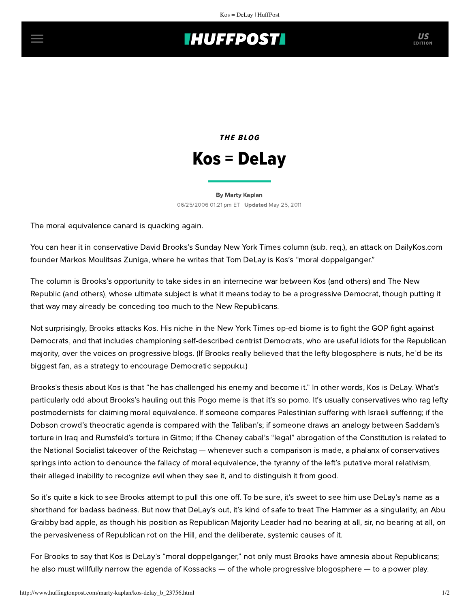## **INUFFPOSTI** US

## THE BLOG Kos = DeLay

[By Marty Kaplan](http://www.huffingtonpost.com/author/marty-kaplan) 06/25/2006 01:21 pm ET | Updated May 25, 2011

The moral equivalence canard is quacking again.

You can hear it in conservative David Brooks's Sunday New York Times [column](http://select.nytimes.com/gst/tsc.html?URI=http://select.nytimes.com/2006/06/25/opinion/25brooks.html&OQ=_rQ3D1Q26hp&OP=328803e2Q2FwI5twQ5BbHQ26Q26Q5BwvLLVwLVwvQ3DwQ26ajQ2AjQ26Q2AwvQ3DtHQ26Q26db9iQ5BQ24B) (sub. req.), an attack on DailyKos.com founder Markos Moulitsas Zuniga, where he writes that Tom DeLay is Kos's "moral doppelganger."

The column is Brooks's opportunity to take sides in an internecine war between Kos (and others) and The New Republic (and others), whose ultimate subject is what it means today to be a progressive Democrat, though putting it that way may already be conceding too much to the New Republicans.

Not surprisingly, Brooks attacks Kos. His niche in the New York Times op-ed biome is to fight the GOP fight against Democrats, and that includes championing self-described centrist Democrats, who are useful idiots for the Republican majority, over the voices on progressive blogs. (If Brooks really believed that the lefty blogosphere is nuts, he'd be its biggest fan, as a strategy to encourage Democratic seppuku.)

Brooks's thesis about Kos is that "he has challenged his enemy and become it." In other words, Kos is DeLay. What's particularly odd about Brooks's hauling out this Pogo meme is that it's so pomo. It's usually conservatives who rag lefty postmodernists for claiming moral equivalence. If someone compares Palestinian suffering with Israeli suffering; if the Dobson crowd's theocratic agenda is compared with the Taliban's; if someone draws an analogy between Saddam's torture in Iraq and Rumsfeld's torture in Gitmo; if the Cheney cabal's "legal" abrogation of the Constitution is related to the National Socialist takeover of the Reichstag — whenever such a comparison is made, a phalanx of conservatives springs into action to denounce the fallacy of moral equivalence, the tyranny of the left's putative moral relativism, their alleged inability to recognize evil when they see it, and to distinguish it from good.

So it's quite a kick to see Brooks attempt to pull this one off. To be sure, it's sweet to see him use DeLay's name as a shorthand for badass badness. But now that DeLay's out, it's kind of safe to treat The Hammer as a singularity, an Abu Graibby bad apple, as though his position as Republican Majority Leader had no bearing at all, sir, no bearing at all, on the pervasiveness of Republican rot on the Hill, and the deliberate, systemic causes of it.

For Brooks to say that Kos is DeLay's "moral doppelganger," not only must Brooks have amnesia about Republicans; he also must willfully narrow the agenda of Kossacks — of the whole progressive blogosphere — to a power play.